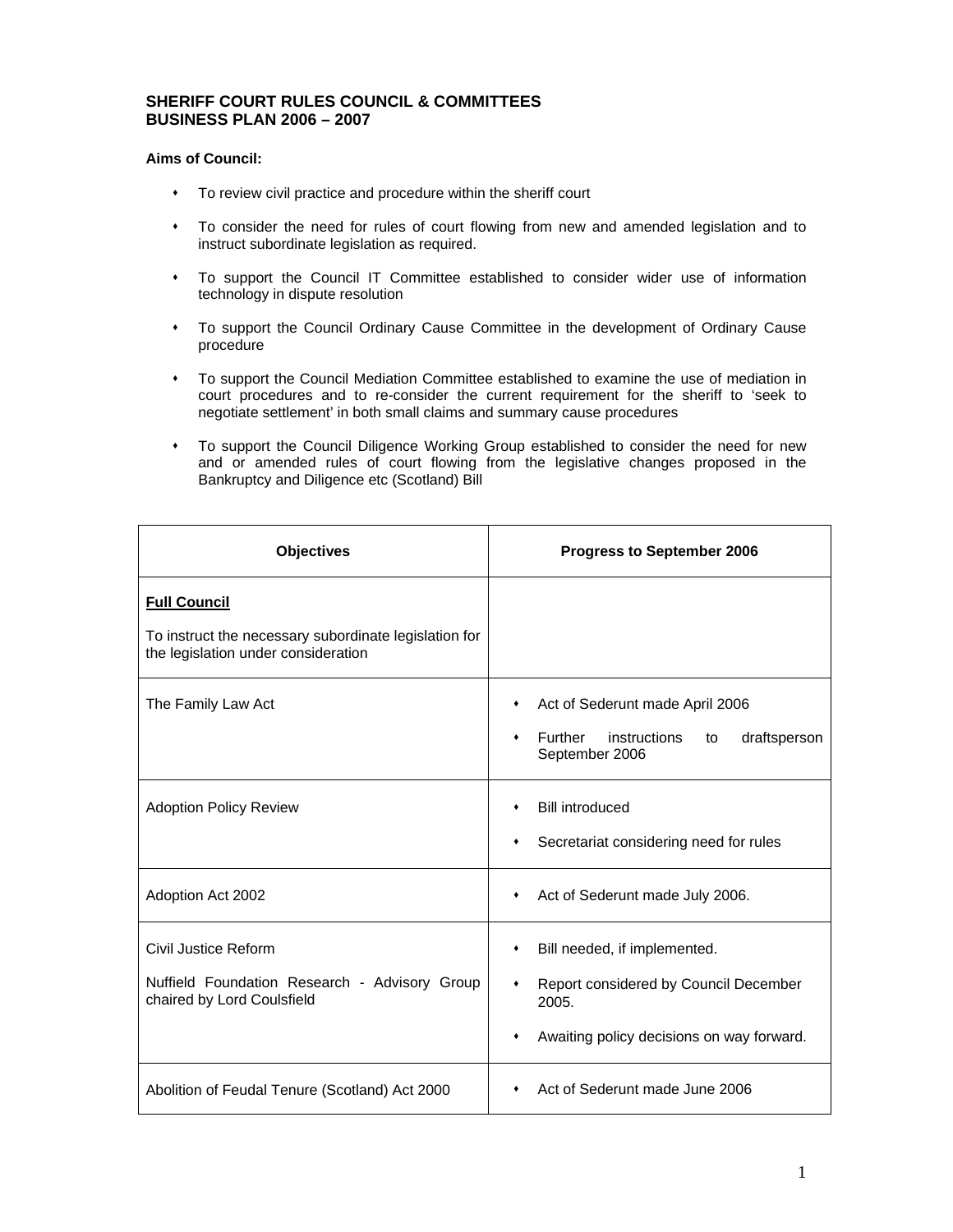## **SHERIFF COURT RULES COUNCIL & COMMITTEES BUSINESS PLAN 2006 – 2007**

## **Aims of Council:**

- To review civil practice and procedure within the sheriff court
- To consider the need for rules of court flowing from new and amended legislation and to instruct subordinate legislation as required.
- To support the Council IT Committee established to consider wider use of information technology in dispute resolution
- To support the Council Ordinary Cause Committee in the development of Ordinary Cause procedure
- To support the Council Mediation Committee established to examine the use of mediation in court procedures and to re-consider the current requirement for the sheriff to 'seek to negotiate settlement' in both small claims and summary cause procedures
- To support the Council Diligence Working Group established to consider the need for new and or amended rules of court flowing from the legislative changes proposed in the Bankruptcy and Diligence etc (Scotland) Bill

| <b>Objectives</b>                                                                            | <b>Progress to September 2006</b>                                    |
|----------------------------------------------------------------------------------------------|----------------------------------------------------------------------|
| <b>Full Council</b>                                                                          |                                                                      |
| To instruct the necessary subordinate legislation for<br>the legislation under consideration |                                                                      |
| The Family Law Act                                                                           | Act of Sederunt made April 2006<br>٠                                 |
|                                                                                              | Further<br>instructions<br>draftsperson<br>to<br>٠<br>September 2006 |
| <b>Adoption Policy Review</b>                                                                | <b>Bill introduced</b><br>٠                                          |
|                                                                                              | Secretariat considering need for rules<br>٠                          |
| Adoption Act 2002                                                                            | Act of Sederunt made July 2006.<br>٠                                 |
| Civil Justice Reform                                                                         | Bill needed, if implemented.<br>٠                                    |
| Nuffield Foundation Research - Advisory Group<br>chaired by Lord Coulsfield                  | Report considered by Council December<br>٠<br>2005.                  |
|                                                                                              | Awaiting policy decisions on way forward.                            |
| Abolition of Feudal Tenure (Scotland) Act 2000                                               | Act of Sederunt made June 2006                                       |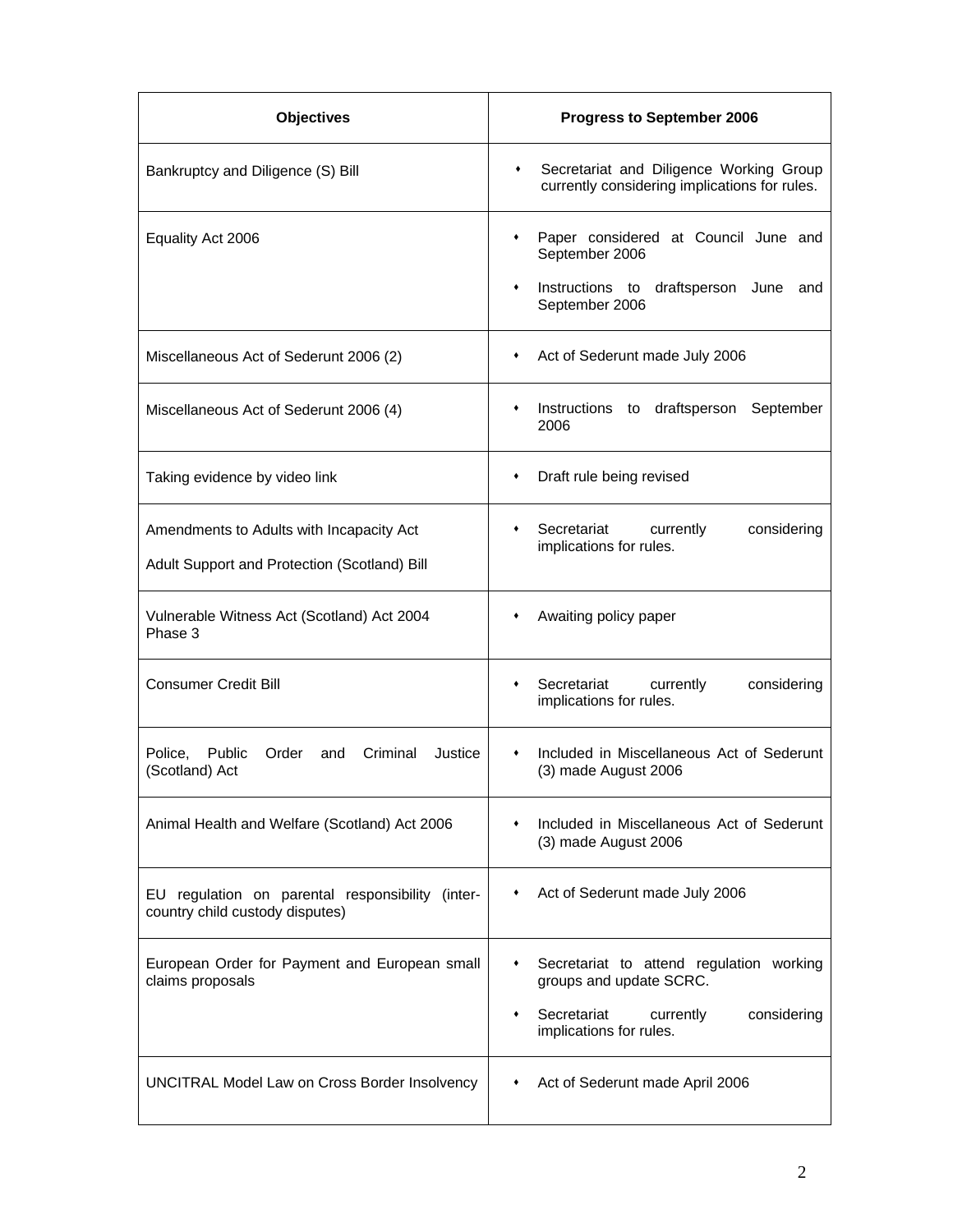| <b>Objectives</b>                                                                        | <b>Progress to September 2006</b>                                                             |
|------------------------------------------------------------------------------------------|-----------------------------------------------------------------------------------------------|
| Bankruptcy and Diligence (S) Bill                                                        | Secretariat and Diligence Working Group<br>٠<br>currently considering implications for rules. |
| Equality Act 2006                                                                        | Paper considered at Council June and<br>٠<br>September 2006                                   |
|                                                                                          | Instructions to draftsperson June and<br>٠<br>September 2006                                  |
| Miscellaneous Act of Sederunt 2006 (2)                                                   | Act of Sederunt made July 2006<br>٠                                                           |
| Miscellaneous Act of Sederunt 2006 (4)                                                   | draftsperson September<br>Instructions to<br>٠<br>2006                                        |
| Taking evidence by video link                                                            | Draft rule being revised<br>٠                                                                 |
| Amendments to Adults with Incapacity Act<br>Adult Support and Protection (Scotland) Bill | Secretariat<br>currently<br>considering<br>٠<br>implications for rules.                       |
| Vulnerable Witness Act (Scotland) Act 2004<br>Phase 3                                    | Awaiting policy paper                                                                         |
| <b>Consumer Credit Bill</b>                                                              | Secretariat<br>currently<br>considering<br>٠<br>implications for rules.                       |
| Order<br>Police. Public<br>and<br>Criminal<br>Justice<br>(Scotland) Act                  | Included in Miscellaneous Act of Sederunt<br>٠<br>(3) made August 2006                        |
| Animal Health and Welfare (Scotland) Act 2006                                            | Included in Miscellaneous Act of Sederunt<br>(3) made August 2006                             |
| EU regulation on parental responsibility (inter-<br>country child custody disputes)      | Act of Sederunt made July 2006                                                                |
| European Order for Payment and European small<br>claims proposals                        | Secretariat to attend regulation working<br>٠<br>groups and update SCRC.                      |
|                                                                                          | Secretariat<br>currently<br>considering<br>٠<br>implications for rules.                       |
| UNCITRAL Model Law on Cross Border Insolvency                                            | Act of Sederunt made April 2006                                                               |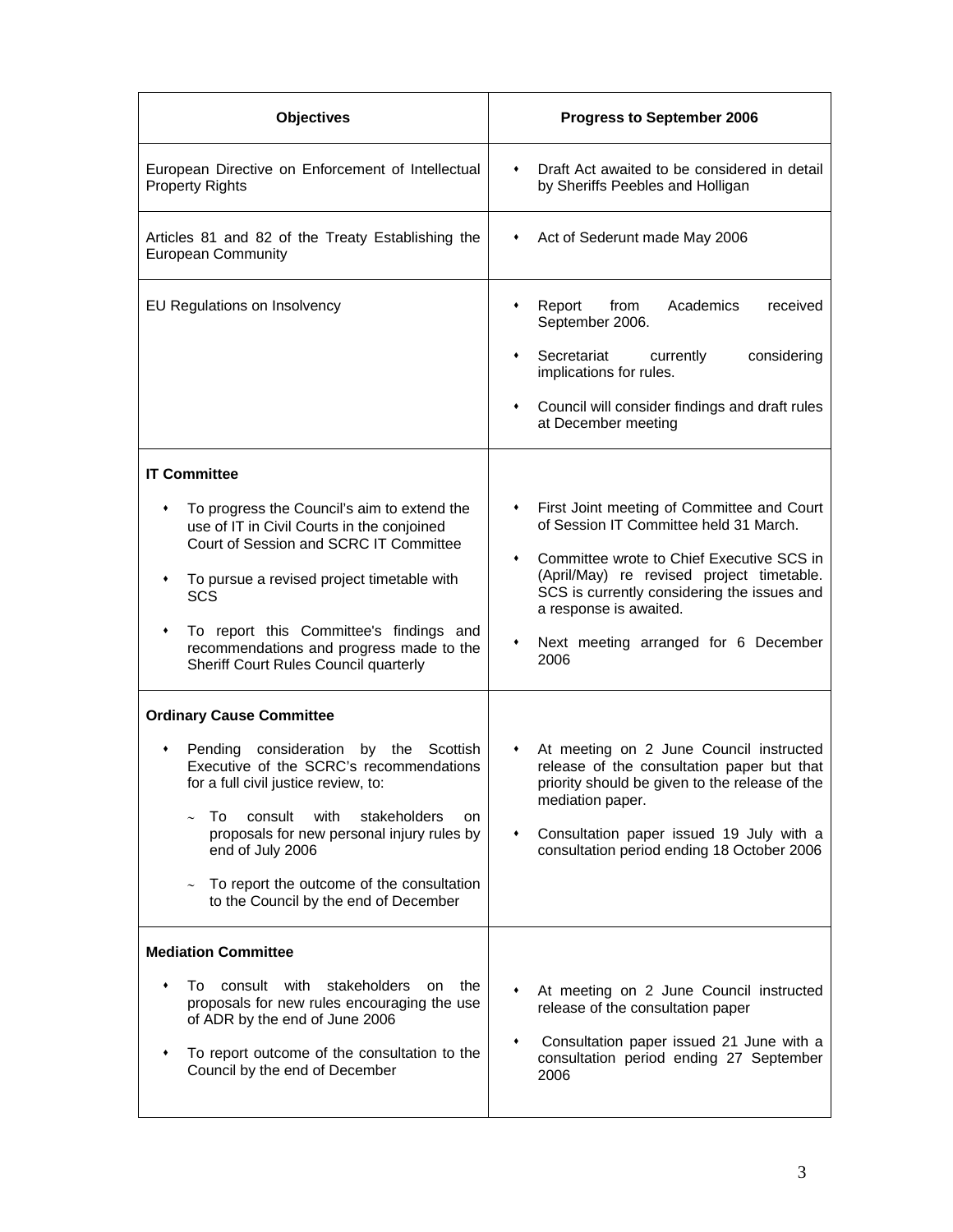| <b>Objectives</b>                                                                                                                                                                                                                                                                                                                                                                 | Progress to September 2006                                                                                                                                                                                                                                                                                                     |
|-----------------------------------------------------------------------------------------------------------------------------------------------------------------------------------------------------------------------------------------------------------------------------------------------------------------------------------------------------------------------------------|--------------------------------------------------------------------------------------------------------------------------------------------------------------------------------------------------------------------------------------------------------------------------------------------------------------------------------|
| European Directive on Enforcement of Intellectual<br><b>Property Rights</b>                                                                                                                                                                                                                                                                                                       | Draft Act awaited to be considered in detail<br>٠<br>by Sheriffs Peebles and Holligan                                                                                                                                                                                                                                          |
| Articles 81 and 82 of the Treaty Establishing the<br><b>European Community</b>                                                                                                                                                                                                                                                                                                    | Act of Sederunt made May 2006<br>٠                                                                                                                                                                                                                                                                                             |
| EU Regulations on Insolvency                                                                                                                                                                                                                                                                                                                                                      | Report<br>Academics<br>from<br>received<br>September 2006.<br>Secretariat<br>currently<br>considering<br>٠<br>implications for rules.<br>Council will consider findings and draft rules<br>$\bullet$<br>at December meeting                                                                                                    |
| <b>IT Committee</b><br>To progress the Council's aim to extend the<br>use of IT in Civil Courts in the conjoined<br>Court of Session and SCRC IT Committee<br>To pursue a revised project timetable with<br>٠<br>SCS<br>To report this Committee's findings and<br>٠<br>recommendations and progress made to the<br>Sheriff Court Rules Council quarterly                         | First Joint meeting of Committee and Court<br>$\bullet$<br>of Session IT Committee held 31 March.<br>Committee wrote to Chief Executive SCS in<br>٠<br>(April/May) re revised project timetable.<br>SCS is currently considering the issues and<br>a response is awaited.<br>Next meeting arranged for 6 December<br>۰<br>2006 |
| <b>Ordinary Cause Committee</b><br>Pending consideration by the Scottish<br>٠<br>Executive of the SCRC's recommendations<br>for a full civil justice review, to:<br>To<br>with<br>stakeholders<br>consult<br>on<br>proposals for new personal injury rules by<br>end of July 2006<br>To report the outcome of the consultation<br>$\sim$<br>to the Council by the end of December | At meeting on 2 June Council instructed<br>$\bullet$<br>release of the consultation paper but that<br>priority should be given to the release of the<br>mediation paper.<br>Consultation paper issued 19 July with a<br>$\bullet$<br>consultation period ending 18 October 2006                                                |
| <b>Mediation Committee</b><br>To consult with<br>stakeholders<br>the<br>on<br>proposals for new rules encouraging the use<br>of ADR by the end of June 2006<br>To report outcome of the consultation to the<br>٠<br>Council by the end of December                                                                                                                                | At meeting on 2 June Council instructed<br>release of the consultation paper<br>Consultation paper issued 21 June with a<br>٠<br>consultation period ending 27 September<br>2006                                                                                                                                               |